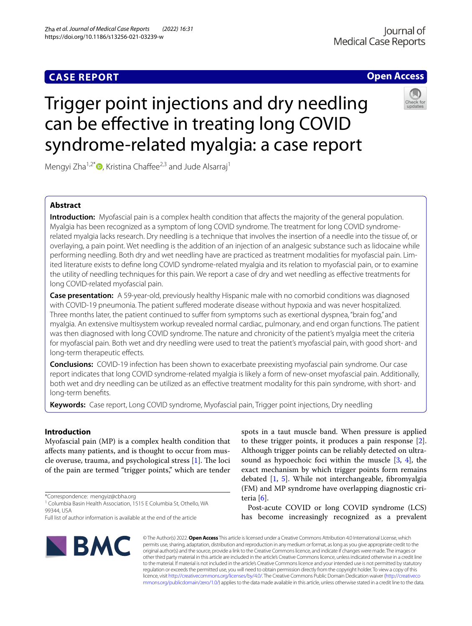# **CASE REPORT**

# **Open Access**

# Trigger point injections and dry needling can be efective in treating long COVID syndrome-related myalgia: a case report

Mengyi Zha<sup>1,2\*</sup> $\bullet$ [,](http://orcid.org/0000-0003-3034-1255) Kristina Chaffee<sup>2,3</sup> and Jude Alsarraj<sup>1</sup>

# **Abstract**

**Introduction:** Myofascial pain is a complex health condition that affects the majority of the general population. Myalgia has been recognized as a symptom of long COVID syndrome. The treatment for long COVID syndromerelated myalgia lacks research. Dry needling is a technique that involves the insertion of a needle into the tissue of, or overlaying, a pain point. Wet needling is the addition of an injection of an analgesic substance such as lidocaine while performing needling. Both dry and wet needling have are practiced as treatment modalities for myofascial pain. Limited literature exists to defne long COVID syndrome-related myalgia and its relation to myofascial pain, or to examine the utility of needling techniques for this pain. We report a case of dry and wet needling as efective treatments for long COVID-related myofascial pain.

**Case presentation:** A 59-year-old, previously healthy Hispanic male with no comorbid conditions was diagnosed with COVID-19 pneumonia. The patient suffered moderate disease without hypoxia and was never hospitalized. Three months later, the patient continued to sufer from symptoms such as exertional dyspnea, "brain fog," and myalgia. An extensive multisystem workup revealed normal cardiac, pulmonary, and end organ functions. The patient was then diagnosed with long COVID syndrome. The nature and chronicity of the patient's myalgia meet the criteria for myofascial pain. Both wet and dry needling were used to treat the patient's myofascial pain, with good short- and long-term therapeutic effects.

**Conclusions:** COVID-19 infection has been shown to exacerbate preexisting myofascial pain syndrome. Our case report indicates that long COVID syndrome-related myalgia is likely a form of new-onset myofascial pain. Additionally, both wet and dry needling can be utilized as an efective treatment modality for this pain syndrome, with short- and long-term benefts.

**Keywords:** Case report, Long COVID syndrome, Myofascial pain, Trigger point injections, Dry needling

# **Introduction**

Myofascial pain (MP) is a complex health condition that afects many patients, and is thought to occur from muscle overuse, trauma, and psychological stress  $[1]$ . The loci of the pain are termed "trigger points," which are tender

\*Correspondence: mengyiz@cbha.org

Full list of author information is available at the end of the article



spots in a taut muscle band. When pressure is applied to these trigger points, it produces a pain response [\[2](#page-3-1)]. Although trigger points can be reliably detected on ultrasound as hypoechoic foci within the muscle [\[3,](#page-3-2) [4](#page-3-3)], the exact mechanism by which trigger points form remains debated [\[1](#page-3-0), [5](#page-3-4)]. While not interchangeable, fbromyalgia (FM) and MP syndrome have overlapping diagnostic criteria [[6\]](#page-3-5).

Post-acute COVID or long COVID syndrome (LCS) has become increasingly recognized as a prevalent

© The Author(s) 2022. **Open Access** This article is licensed under a Creative Commons Attribution 4.0 International License, which permits use, sharing, adaptation, distribution and reproduction in any medium or format, as long as you give appropriate credit to the original author(s) and the source, provide a link to the Creative Commons licence, and indicate if changes were made. The images or other third party material in this article are included in the article's Creative Commons licence, unless indicated otherwise in a credit line to the material. If material is not included in the article's Creative Commons licence and your intended use is not permitted by statutory regulation or exceeds the permitted use, you will need to obtain permission directly from the copyright holder. To view a copy of this licence, visit [http://creativecommons.org/licenses/by/4.0/.](http://creativecommons.org/licenses/by/4.0/) The Creative Commons Public Domain Dedication waiver ([http://creativeco](http://creativecommons.org/publicdomain/zero/1.0/) [mmons.org/publicdomain/zero/1.0/](http://creativecommons.org/publicdomain/zero/1.0/)) applies to the data made available in this article, unless otherwise stated in a credit line to the data.

<sup>&</sup>lt;sup>1</sup> Columbia Basin Health Association, 1515 E Columbia St, Othello, WA 99344, USA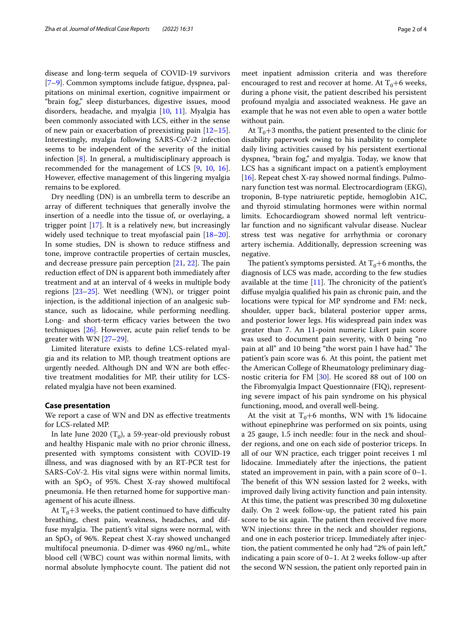disease and long-term sequela of COVID-19 survivors [[7–](#page-3-6)[9\]](#page-3-7). Common symptoms include fatigue, dyspnea, palpitations on minimal exertion, cognitive impairment or "brain fog," sleep disturbances, digestive issues, mood disorders, headache, and myalgia [\[10](#page-3-8), [11\]](#page-3-9). Myalgia has been commonly associated with LCS, either in the sense of new pain or exacerbation of preexisting pain  $[12-15]$  $[12-15]$  $[12-15]$ . Interestingly, myalgia following SARS-CoV-2 infection seems to be independent of the severity of the initial infection [[8\]](#page-3-12). In general, a multidisciplinary approach is recommended for the management of LCS [[9,](#page-3-7) [10,](#page-3-8) [16](#page-3-13)]. However, efective management of this lingering myalgia remains to be explored.

Dry needling (DN) is an umbrella term to describe an array of diferent techniques that generally involve the insertion of a needle into the tissue of, or overlaying, a trigger point [[17\]](#page-3-14). It is a relatively new, but increasingly widely used technique to treat myofascial pain [[18](#page-3-15)[–20](#page-3-16)]. In some studies, DN is shown to reduce stifness and tone, improve contractile properties of certain muscles, and decrease pressure pain perception  $[21, 22]$  $[21, 22]$  $[21, 22]$  $[21, 22]$ . The pain reduction efect of DN is apparent both immediately after treatment and at an interval of 4 weeks in multiple body regions  $[23-25]$  $[23-25]$  $[23-25]$ . Wet needling (WN), or trigger point injection, is the additional injection of an analgesic substance, such as lidocaine, while performing needling. Long- and short-term efficacy varies between the two techniques [\[26](#page-3-21)]. However, acute pain relief tends to be greater with WN [\[27](#page-3-22)[–29](#page-3-23)].

Limited literature exists to defne LCS-related myalgia and its relation to MP, though treatment options are urgently needed. Although DN and WN are both efective treatment modalities for MP, their utility for LCSrelated myalgia have not been examined.

#### **Case presentation**

We report a case of WN and DN as effective treatments for LCS-related MP.

In late June 2020  $(T_0)$ , a 59-year-old previously robust and healthy Hispanic male with no prior chronic illness, presented with symptoms consistent with COVID-19 illness, and was diagnosed with by an RT-PCR test for SARS-CoV-2. His vital signs were within normal limits, with an  $SpO<sub>2</sub>$  of 95%. Chest X-ray showed multifocal pneumonia. He then returned home for supportive management of his acute illness.

At  $T_0+3$  weeks, the patient continued to have difficulty breathing, chest pain, weakness, headaches, and diffuse myalgia. The patient's vital signs were normal, with an  $SpO<sub>2</sub>$  of 96%. Repeat chest X-ray showed unchanged multifocal pneumonia. D-dimer was 4960 ng/mL, white blood cell (WBC) count was within normal limits, with normal absolute lymphocyte count. The patient did not meet inpatient admission criteria and was therefore encouraged to rest and recover at home. At  $T_0+6$  weeks, during a phone visit, the patient described his persistent profound myalgia and associated weakness. He gave an example that he was not even able to open a water bottle without pain.

At  $T_0+3$  months, the patient presented to the clinic for disability paperwork owing to his inability to complete daily living activities caused by his persistent exertional dyspnea, "brain fog," and myalgia. Today, we know that LCS has a signifcant impact on a patient's employment [ $16$ ]. Repeat chest X-ray showed normal findings. Pulmonary function test was normal. Electrocardiogram (EKG), troponin, B-type natriuretic peptide, hemoglobin A1C, and thyroid stimulating hormones were within normal limits. Echocardiogram showed normal left ventricular function and no signifcant valvular disease. Nuclear stress test was negative for arrhythmia or coronary artery ischemia. Additionally, depression screening was negative.

The patient's symptoms persisted. At  $T_0+6$  months, the diagnosis of LCS was made, according to the few studies available at the time  $[11]$  $[11]$ . The chronicity of the patient's difuse myalgia qualifed his pain as chronic pain, and the locations were typical for MP syndrome and FM: neck, shoulder, upper back, bilateral posterior upper arms, and posterior lower legs. His widespread pain index was greater than 7. An 11-point numeric Likert pain score was used to document pain severity, with 0 being "no pain at all" and 10 being "the worst pain I have had." The patient's pain score was 6. At this point, the patient met the American College of Rheumatology preliminary diagnostic criteria for FM [[30](#page-3-24)]. He scored 88 out of 100 on the Fibromyalgia Impact Questionnaire (FIQ), representing severe impact of his pain syndrome on his physical functioning, mood, and overall well-being.

At the visit at  $T_0+6$  months, WN with 1% lidocaine without epinephrine was performed on six points, using a 25 gauge, 1.5 inch needle: four in the neck and shoulder regions, and one on each side of posterior triceps. In all of our WN practice, each trigger point receives 1 ml lidocaine. Immediately after the injections, the patient stated an improvement in pain, with a pain score of 0–1. The benefit of this WN session lasted for 2 weeks, with improved daily living activity function and pain intensity. At this time, the patient was prescribed 30 mg duloxetine daily. On 2 week follow-up, the patient rated his pain score to be six again. The patient then received five more WN injections: three in the neck and shoulder regions, and one in each posterior tricep. Immediately after injection, the patient commented he only had "2% of pain left," indicating a pain score of 0–1. At 2 weeks follow-up after the second WN session, the patient only reported pain in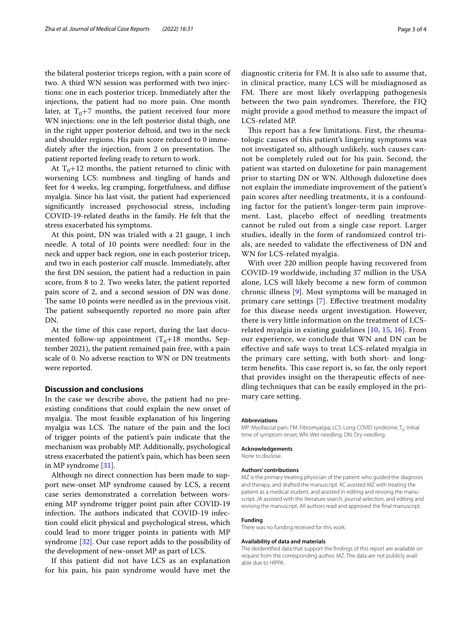the bilateral posterior triceps region, with a pain score of two. A third WN session was performed with two injections: one in each posterior tricep. Immediately after the injections, the patient had no more pain. One month later, at  $T_0+7$  months, the patient received four more WN injections: one in the left posterior distal thigh, one in the right upper posterior deltoid, and two in the neck and shoulder regions. His pain score reduced to 0 immediately after the injection, from 2 on presentation. The patient reported feeling ready to return to work.

At  $T_0+12$  months, the patient returned to clinic with worsening LCS: numbness and tingling of hands and feet for 4 weeks, leg cramping, forgetfulness, and difuse myalgia. Since his last visit, the patient had experienced signifcantly increased psychosocial stress, including COVID-19-related deaths in the family. He felt that the stress exacerbated his symptoms.

At this point, DN was trialed with a 21 gauge, 1 inch needle. A total of 10 points were needled: four in the neck and upper back region, one in each posterior tricep, and two in each posterior calf muscle. Immediately, after the frst DN session, the patient had a reduction in pain score, from 8 to 2. Two weeks later, the patient reported pain score of 2, and a second session of DN was done. The same 10 points were needled as in the previous visit. The patient subsequently reported no more pain after DN.

At the time of this case report, during the last documented follow-up appointment  $(T_0+18$  months, September 2021), the patient remained pain free, with a pain scale of 0. No adverse reaction to WN or DN treatments were reported.

#### **Discussion and conclusions**

In the case we describe above, the patient had no preexisting conditions that could explain the new onset of myalgia. The most feasible explanation of his lingering myalgia was LCS. The nature of the pain and the loci of trigger points of the patient's pain indicate that the mechanism was probably MP. Additionally, psychological stress exacerbated the patient's pain, which has been seen in MP syndrome [\[31](#page-3-25)].

Although no direct connection has been made to support new-onset MP syndrome caused by LCS, a recent case series demonstrated a correlation between worsening MP syndrome trigger point pain after COVID-19 infection. The authors indicated that COVID-19 infection could elicit physical and psychological stress, which could lead to more trigger points in patients with MP syndrome [\[32](#page-3-26)]. Our case report adds to the possibility of the development of new-onset MP as part of LCS.

If this patient did not have LCS as an explanation for his pain, his pain syndrome would have met the

diagnostic criteria for FM. It is also safe to assume that, in clinical practice, many LCS will be misdiagnosed as FM. There are most likely overlapping pathogenesis between the two pain syndromes. Therefore, the FIQ might provide a good method to measure the impact of LCS-related MP.

This report has a few limitations. First, the rheumatologic causes of this patient's lingering symptoms was not investigated so, although unlikely, such causes cannot be completely ruled out for his pain. Second, the patient was started on duloxetine for pain management prior to starting DN or WN. Although duloxetine does not explain the immediate improvement of the patient's pain scores after needling treatments, it is a confounding factor for the patient's longer-term pain improvement. Last, placebo effect of needling treatments cannot be ruled out from a single case report. Larger studies, ideally in the form of randomized control trials, are needed to validate the efectiveness of DN and WN for LCS-related myalgia.

With over 220 million people having recovered from COVID-19 worldwide, including 37 million in the USA alone, LCS will likely become a new form of common chronic illness [[9\]](#page-3-7). Most symptoms will be managed in primary care settings [\[7\]](#page-3-6). Efective treatment modality for this disease needs urgent investigation. However, there is very little information on the treatment of LCSrelated myalgia in existing guidelines [\[10](#page-3-8), [15,](#page-3-11) [16\]](#page-3-13). From our experience, we conclude that WN and DN can be efective and safe ways to treat LCS-related myalgia in the primary care setting, with both short- and longterm benefits. This case report is, so far, the only report that provides insight on the therapeutic efects of needling techniques that can be easily employed in the primary care setting.

#### **Abbreviations**

MP: Myofascial pain; FM: Fibromyalgia; LCS: Long COVID syndrome; T<sub>0</sub>: Initial time of symptom onset; WN: Wet needling; DN: Dry needling.

#### **Acknowledgements**

None to disclose.

#### **Authors' contributions**

MZ is the primary treating physician of the patient who guided the diagnosis and therapy, and drafted the manuscript. KC assisted MZ with treating the patient as a medical student, and assisted in editing and revising the manuscript. JA assisted with the literature search, journal selection, and editing and revising the manuscript. All authors read and approved the fnal manuscript.

#### **Funding**

There was no funding received for this work.

#### **Availability of data and materials**

The deidentifed data that support the fndings of this report are available on request from the corresponding author, MZ. The data are not publicly available due to HIPPA.